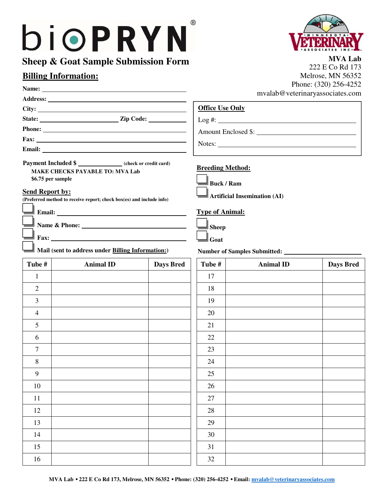# bioPRYN

# **Sheep & Goat Sample Submission Form**

Name: *Name: Name: Physicial <b>Physicial Physicial <b>Physicial Physicial* **<b>***Physicial* **Physicial** *Physicial* **<b>***Physicial* **Physicial** *Physicial* **<b>***Physicial* **Physicial** *Physicial* **<b>***Physicial* **P Address:** 

State: <u>Zip Code:</u> <u>Zip Code:</u>

**Fax:** 

**Email:** 

# **Billing Information:**

**City:** 

Phone: <u>**Contract 2008**</u>



**MVA Lab** 222 E Co Rd 173 Melrose, MN 56352 Phone: (320) 256-4252 mvalab@veterinaryassociates.com

 $Log #:$ 

| <b>Office Use Only</b> |
|------------------------|
|------------------------|

Amount Enclosed \$:

Notes: Notes:

## **Payment Included \$ (check or credit card) MAKE CHECKS PAYABLE TO: MVA Lab**

 **\$6.75 per sample** 

#### **Send Report by:**

**(Preferred method to receive report; check box(es) and include info)** 

 **Email:** 

 **Name & Phone:** 

 **Fax:** 

**Mail (sent to address under Billing Information:) Number of Samples Submitted:** <u>International</u>

| Tube #           | <b>Animal ID</b> | <b>Days Bred</b> | Tube # | <b>Animal ID</b> | <b>Days Bred</b> |
|------------------|------------------|------------------|--------|------------------|------------------|
| $\mathbf{1}$     |                  |                  | 17     |                  |                  |
| $\sqrt{2}$       |                  |                  | 18     |                  |                  |
| $\mathfrak{Z}$   |                  |                  | 19     |                  |                  |
| $\overline{4}$   |                  |                  | 20     |                  |                  |
| 5                |                  |                  | 21     |                  |                  |
| $\sqrt{6}$       |                  |                  | 22     |                  |                  |
| $\overline{7}$   |                  |                  | 23     |                  |                  |
| $\,8\,$          |                  |                  | 24     |                  |                  |
| $\boldsymbol{9}$ |                  |                  | 25     |                  |                  |
| 10               |                  |                  | 26     |                  |                  |
| $11\,$           |                  |                  | 27     |                  |                  |
| 12               |                  |                  | $28\,$ |                  |                  |
| 13               |                  |                  | 29     |                  |                  |
| 14               |                  |                  | 30     |                  |                  |
| 15               |                  |                  | 31     |                  |                  |
| 16               |                  |                  | 32     |                  |                  |

## **Breeding Method:**

| <b>Buck / Ram</b> |
|-------------------|
|-------------------|

**Artificial Insemination (AI)** 

### **Type of Animal:**

| Sheep |
|-------|
| 70at  |

| Tube # | <b>Animal ID</b> | <b>Days Bred</b> |
|--------|------------------|------------------|
| 17     |                  |                  |
| 18     |                  |                  |
| 19     |                  |                  |
| $20\,$ |                  |                  |
| 21     |                  |                  |
| $22\,$ |                  |                  |
| 23     |                  |                  |
| 24     |                  |                  |
| $25\,$ |                  |                  |
| 26     |                  |                  |
| $27\,$ |                  |                  |
| 28     |                  |                  |
| 29     |                  |                  |
| 30     |                  |                  |
| 31     |                  |                  |
| 32     |                  |                  |

®